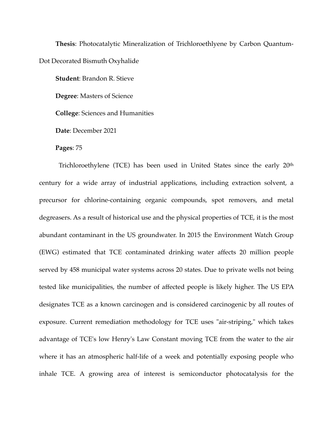**Thesis**: Photocatalytic Mineralization of Trichloroethlyene by Carbon Quantum-Dot Decorated Bismuth Oxyhalide

**Student**: Brandon R. Stieve

**Degree**: Masters of Science

**College**: Sciences and Humanities

**Date**: December 2021

**Pages**: 75

Trichloroethylene (TCE) has been used in United States since the early 20th century for a wide array of industrial applications, including extraction solvent, a precursor for chlorine-containing organic compounds, spot removers, and metal degreasers. As a result of historical use and the physical properties of TCE, it is the most abundant contaminant in the US groundwater. In 2015 the Environment Watch Group (EWG) estimated that TCE contaminated drinking water affects 20 million people served by 458 municipal water systems across 20 states. Due to private wells not being tested like municipalities, the number of affected people is likely higher. The US EPA designates TCE as a known carcinogen and is considered carcinogenic by all routes of exposure. Current remediation methodology for TCE uses "air-striping," which takes advantage of TCE's low Henry's Law Constant moving TCE from the water to the air where it has an atmospheric half-life of a week and potentially exposing people who inhale TCE. A growing area of interest is semiconductor photocatalysis for the